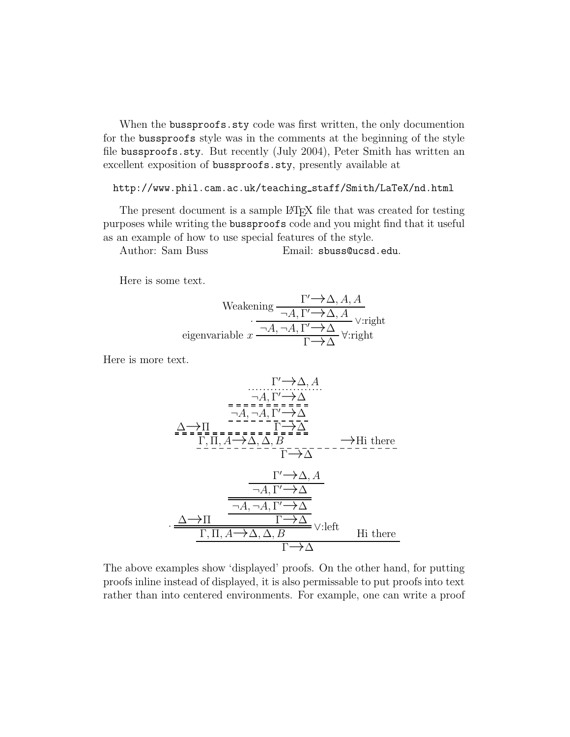When the bussproofs.sty code was first written, the only documention for the bussproofs style was in the comments at the beginning of the style file bussproofs.sty. But recently (July 2004), Peter Smith has written an excellent exposition of bussproofs.sty, presently available at

## http://www.phil.cam.ac.uk/teaching staff/Smith/LaTeX/nd.html

The present document is a sample LAT<sub>E</sub>X file that was created for testing purposes while writing the bussproofs code and you might find that it useful as an example of how to use special features of the style.

Author: Sam Buss **Email:** sbuss@ucsd.edu.

Here is some text.

Weakening 
$$
\frac{\Gamma' \rightarrow \Delta, A, A}{\neg A, \Gamma' \rightarrow \Delta, A}
$$
  
eigenvariable  $x \frac{\neg A, \neg A, \Gamma' \rightarrow \Delta}{\Gamma \rightarrow \Delta} \vee$ :right

Here is more text.

$$
\Gamma' \rightarrow \Delta, A
$$
\n
$$
= \frac{\neg A, \Gamma' \rightarrow \Delta}{\neg A, \Gamma' \rightarrow \Delta}
$$
\n
$$
= \frac{\neg A, \Gamma' \rightarrow \Delta}{\neg A, \neg A, \Gamma' \rightarrow \Delta}
$$
\n
$$
\Delta \rightarrow \Pi
$$
\n
$$
= \frac{\Gamma \rightarrow \Delta}{\Gamma, \Pi, A \rightarrow \Delta, \Delta, B}
$$
\n
$$
\Gamma' \rightarrow \Delta, A
$$
\n
$$
\frac{\Gamma' \rightarrow \Delta, A}{\neg A, \Gamma' \rightarrow \Delta}
$$
\n
$$
\frac{\Gamma' \rightarrow \Delta, A}{\neg A, \Gamma' \rightarrow \Delta}
$$
\n
$$
\frac{\Gamma' \rightarrow \Delta, A}{\neg A, \neg A, \Gamma' \rightarrow \Delta}
$$
\n
$$
\frac{\Gamma \rightarrow \Delta}{\Gamma \rightarrow \Delta} \text{ Viiter}
$$
\n
$$
\Gamma \rightarrow \Delta
$$

The above examples show 'displayed' proofs. On the other hand, for putting proofs inline instead of displayed, it is also permissable to put proofs into text rather than into centered environments. For example, one can write a proof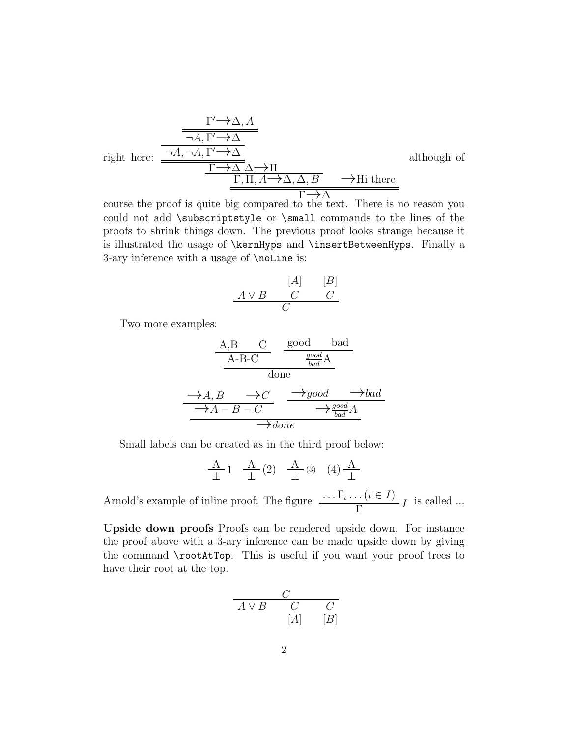right here: 
$$
\frac{\frac{\Gamma' \to \Delta, A}{\neg A, \Gamma' \to \Delta}}{\frac{\neg A, \neg A, \Gamma' \to \Delta}{\Gamma \to \Delta} \Delta \to \Pi}
$$
although of  
subough of 
$$
\frac{\frac{\Gamma \to \Delta}{\Gamma, \Pi, A \to \Delta, \Delta, B} \to \text{Hi there}}{\frac{\Gamma, \Pi, A \to \Delta, \Delta, B}{\Gamma \to \Delta} \to \text{mi there}}
$$

course the proof is quite big compared to the text. There is no reason you could not add \subscriptstyle or \small commands to the lines of the proofs to shrink things down. The previous proof looks strange because it is illustrated the usage of \kernHyps and \insertBetweenHyps. Finally a 3-ary inference with a usage of \noLine is:

$$
\begin{array}{c|cc}\n & [A] & [B] \\
 & A \vee B & C & C \\
 & C & & \n\end{array}
$$

Two more examples:

$$
\begin{array}{c|c}\n & A,B & C & \text{good } \text{ bad} \\
\hline\n & A-B-C & \frac{good}{bad}A \\
 & \text{done} & \\
\hline\n\rightarrow A, B & \rightarrow C & \rightarrow good & \rightarrow bad \\
\hline\n\rightarrow A-B-C & \rightarrow \frac{good}{bad}A & \\
\hline\n & \rightarrow done & \\
\end{array}
$$

Small labels can be created as in the third proof below:

$$
\frac{A}{\perp} 1 \quad \frac{A}{\perp} (2) \quad \frac{A}{\perp} (3) \quad (4) \frac{A}{\perp}
$$

Arnold's example of inline proof: The figure  $\dots \Gamma_{\iota} \dots (\iota \in I)$  $\frac{1}{\Gamma}$   $I$ is called ...

Upside down proofs Proofs can be rendered upside down. For instance the proof above with a 3-ary inference can be made upside down by giving the command \rootAtTop. This is useful if you want your proof trees to have their root at the top.

$$
\begin{array}{cc}\nC & C \\
A \lor B & C & C \\
[A] & [B]\n\end{array}
$$